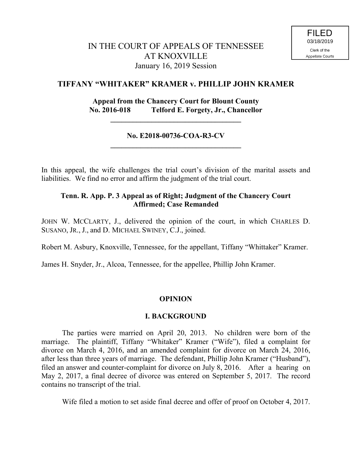# **TIFFANY "WHITAKER" KRAMER v. PHILLIP JOHN KRAMER**

# **Appeal from the Chancery Court for Blount County No. 2016-018 Telford E. Forgety, Jr., Chancellor**

**\_\_\_\_\_\_\_\_\_\_\_\_\_\_\_\_\_\_\_\_\_\_\_\_\_\_\_\_\_\_\_\_\_\_\_**

# **No. E2018-00736-COA-R3-CV \_\_\_\_\_\_\_\_\_\_\_\_\_\_\_\_\_\_\_\_\_\_\_\_\_\_\_\_\_\_\_\_\_\_\_**

In this appeal, the wife challenges the trial court's division of the marital assets and liabilities. We find no error and affirm the judgment of the trial court.

# **Tenn. R. App. P. 3 Appeal as of Right; Judgment of the Chancery Court Affirmed; Case Remanded**

JOHN W. MCCLARTY, J., delivered the opinion of the court, in which CHARLES D. SUSANO, JR., J., and D. MICHAEL SWINEY, C.J., joined.

Robert M. Asbury, Knoxville, Tennessee, for the appellant, Tiffany "Whittaker" Kramer.

James H. Snyder, Jr., Alcoa, Tennessee, for the appellee, Phillip John Kramer.

#### **OPINION**

#### **I. BACKGROUND**

The parties were married on April 20, 2013. No children were born of the marriage. The plaintiff, Tiffany "Whitaker" Kramer ("Wife"), filed a complaint for divorce on March 4, 2016, and an amended complaint for divorce on March 24, 2016, after less than three years of marriage. The defendant, Phillip John Kramer ("Husband"), filed an answer and counter-complaint for divorce on July 8, 2016. After a hearing on May 2, 2017, a final decree of divorce was entered on September 5, 2017. The record contains no transcript of the trial.

Wife filed a motion to set aside final decree and offer of proof on October 4, 2017.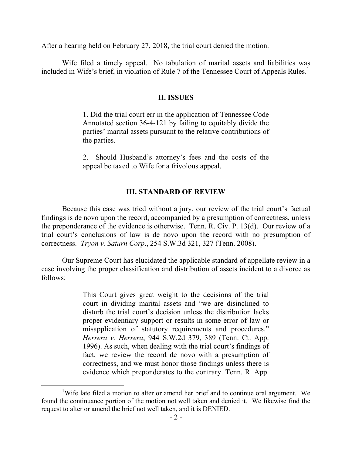After a hearing held on February 27, 2018, the trial court denied the motion.

Wife filed a timely appeal. No tabulation of marital assets and liabilities was included in Wife's brief, in violation of Rule 7 of the Tennessee Court of Appeals Rules. 1

#### **II. ISSUES**

1. Did the trial court err in the application of Tennessee Code Annotated section 36-4-121 by failing to equitably divide the parties' marital assets pursuant to the relative contributions of the parties.

2. Should Husband's attorney's fees and the costs of the appeal be taxed to Wife for a frivolous appeal.

#### **III. STANDARD OF REVIEW**

Because this case was tried without a jury, our review of the trial court's factual findings is de novo upon the record, accompanied by a presumption of correctness, unless the preponderance of the evidence is otherwise. Tenn. R. Civ. P. 13(d). Our review of a trial court's conclusions of law is de novo upon the record with no presumption of correctness. *Tryon v. Saturn Corp*., 254 S.W.3d 321, 327 (Tenn. 2008).

Our Supreme Court has elucidated the applicable standard of appellate review in a case involving the proper classification and distribution of assets incident to a divorce as follows:

> This Court gives great weight to the decisions of the trial court in dividing marital assets and "we are disinclined to disturb the trial court's decision unless the distribution lacks proper evidentiary support or results in some error of law or misapplication of statutory requirements and procedures." *Herrera v. Herrera*, 944 S.W.2d 379, 389 (Tenn. Ct. App. 1996). As such, when dealing with the trial court's findings of fact, we review the record de novo with a presumption of correctness, and we must honor those findings unless there is evidence which preponderates to the contrary. Tenn. R. App.

<sup>&</sup>lt;sup>1</sup>Wife late filed a motion to alter or amend her brief and to continue oral argument. We found the continuance portion of the motion not well taken and denied it. We likewise find the request to alter or amend the brief not well taken, and it is DENIED.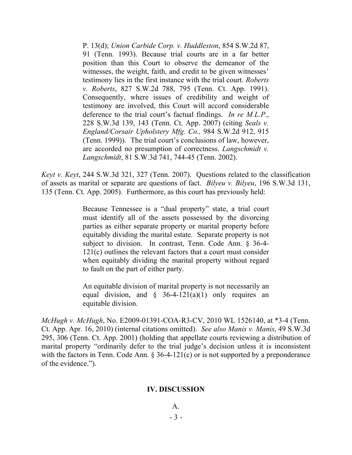P. 13(d); *Union Carbide Corp. v. Huddleston*, 854 S.W.2d 87, 91 (Tenn. 1993). Because trial courts are in a far better position than this Court to observe the demeanor of the witnesses, the weight, faith, and credit to be given witnesses' testimony lies in the first instance with the trial court. *Roberts v. Roberts*, 827 S.W.2d 788, 795 (Tenn. Ct. App. 1991). Consequently, where issues of credibility and weight of testimony are involved, this Court will accord considerable deference to the trial court's factual findings. *In re M.L.P*., 228 S.W.3d 139, 143 (Tenn. Ct. App. 2007) (citing *Seals v. England/Corsair Upholstery Mfg. Co.,* 984 S.W.2d 912, 915 (Tenn. 1999)). The trial court's conclusions of law, however, are accorded no presumption of correctness. *Langschmidt v. Langschmidt*, 81 S.W.3d 741, 744-45 (Tenn. 2002).

*Keyt v. Keyt*, 244 S.W.3d 321, 327 (Tenn. 2007). Questions related to the classification of assets as marital or separate are questions of fact. *Bilyeu v. Bilyeu*, 196 S.W.3d 131, 135 (Tenn. Ct. App. 2005). Furthermore, as this court has previously held:

> Because Tennessee is a "dual property" state, a trial court must identify all of the assets possessed by the divorcing parties as either separate property or marital property before equitably dividing the marital estate. Separate property is not subject to division. In contrast, Tenn. Code Ann. § 36-4- 121(c) outlines the relevant factors that a court must consider when equitably dividing the marital property without regard to fault on the part of either party.

> An equitable division of marital property is not necessarily an equal division, and  $\frac{1}{2}$  36-4-121(a)(1) only requires an equitable division.

*McHugh v. McHugh*, No. E2009-01391-COA-R3-CV, 2010 WL 1526140, at \*3-4 (Tenn. Ct. App. Apr. 16, 2010) (internal citations omitted). *See also Manis v. Manis*, 49 S.W.3d 295, 306 (Tenn. Ct. App. 2001) (holding that appellate courts reviewing a distribution of marital property "ordinarily defer to the trial judge's decision unless it is inconsistent with the factors in Tenn. Code Ann. § 36-4-121(c) or is not supported by a preponderance of the evidence.").

## **IV. DISCUSSION**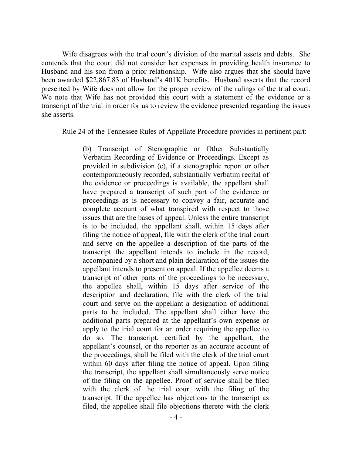Wife disagrees with the trial court's division of the marital assets and debts. She contends that the court did not consider her expenses in providing health insurance to Husband and his son from a prior relationship. Wife also argues that she should have been awarded \$22,867.83 of Husband's 401K benefits. Husband asserts that the record presented by Wife does not allow for the proper review of the rulings of the trial court. We note that Wife has not provided this court with a statement of the evidence or a transcript of the trial in order for us to review the evidence presented regarding the issues she asserts.

Rule 24 of the Tennessee Rules of Appellate Procedure provides in pertinent part:

(b) Transcript of Stenographic or Other Substantially Verbatim Recording of Evidence or Proceedings. Except as provided in subdivision (c), if a stenographic report or other contemporaneously recorded, substantially verbatim recital of the evidence or proceedings is available, the appellant shall have prepared a transcript of such part of the evidence or proceedings as is necessary to convey a fair, accurate and complete account of what transpired with respect to those issues that are the bases of appeal. Unless the entire transcript is to be included, the appellant shall, within 15 days after filing the notice of appeal, file with the clerk of the trial court and serve on the appellee a description of the parts of the transcript the appellant intends to include in the record, accompanied by a short and plain declaration of the issues the appellant intends to present on appeal. If the appellee deems a transcript of other parts of the proceedings to be necessary, the appellee shall, within 15 days after service of the description and declaration, file with the clerk of the trial court and serve on the appellant a designation of additional parts to be included. The appellant shall either have the additional parts prepared at the appellant's own expense or apply to the trial court for an order requiring the appellee to do so. The transcript, certified by the appellant, the appellant's counsel, or the reporter as an accurate account of the proceedings, shall be filed with the clerk of the trial court within 60 days after filing the notice of appeal. Upon filing the transcript, the appellant shall simultaneously serve notice of the filing on the appellee. Proof of service shall be filed with the clerk of the trial court with the filing of the transcript. If the appellee has objections to the transcript as filed, the appellee shall file objections thereto with the clerk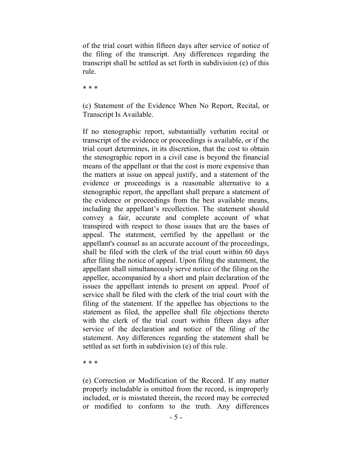of the trial court within fifteen days after service of notice of the filing of the transcript. Any differences regarding the transcript shall be settled as set forth in subdivision (e) of this rule.

\* \* \*

(c) Statement of the Evidence When No Report, Recital, or Transcript Is Available.

If no stenographic report, substantially verbatim recital or transcript of the evidence or proceedings is available, or if the trial court determines, in its discretion, that the cost to obtain the stenographic report in a civil case is beyond the financial means of the appellant or that the cost is more expensive than the matters at issue on appeal justify, and a statement of the evidence or proceedings is a reasonable alternative to a stenographic report, the appellant shall prepare a statement of the evidence or proceedings from the best available means, including the appellant's recollection. The statement should convey a fair, accurate and complete account of what transpired with respect to those issues that are the bases of appeal. The statement, certified by the appellant or the appellant's counsel as an accurate account of the proceedings, shall be filed with the clerk of the trial court within 60 days after filing the notice of appeal. Upon filing the statement, the appellant shall simultaneously serve notice of the filing on the appellee, accompanied by a short and plain declaration of the issues the appellant intends to present on appeal. Proof of service shall be filed with the clerk of the trial court with the filing of the statement. If the appellee has objections to the statement as filed, the appellee shall file objections thereto with the clerk of the trial court within fifteen days after service of the declaration and notice of the filing of the statement. Any differences regarding the statement shall be settled as set forth in subdivision (e) of this rule.

\* \* \*

(e) Correction or Modification of the Record. If any matter properly includable is omitted from the record, is improperly included, or is misstated therein, the record may be corrected or modified to conform to the truth. Any differences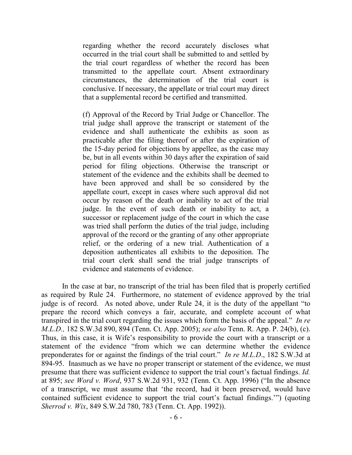regarding whether the record accurately discloses what occurred in the trial court shall be submitted to and settled by the trial court regardless of whether the record has been transmitted to the appellate court. Absent extraordinary circumstances, the determination of the trial court is conclusive. If necessary, the appellate or trial court may direct that a supplemental record be certified and transmitted.

(f) Approval of the Record by Trial Judge or Chancellor. The trial judge shall approve the transcript or statement of the evidence and shall authenticate the exhibits as soon as practicable after the filing thereof or after the expiration of the 15-day period for objections by appellee, as the case may be, but in all events within 30 days after the expiration of said period for filing objections. Otherwise the transcript or statement of the evidence and the exhibits shall be deemed to have been approved and shall be so considered by the appellate court, except in cases where such approval did not occur by reason of the death or inability to act of the trial judge. In the event of such death or inability to act, a successor or replacement judge of the court in which the case was tried shall perform the duties of the trial judge, including approval of the record or the granting of any other appropriate relief, or the ordering of a new trial. Authentication of a deposition authenticates all exhibits to the deposition. The trial court clerk shall send the trial judge transcripts of evidence and statements of evidence.

In the case at bar, no transcript of the trial has been filed that is properly certified as required by Rule 24. Furthermore, no statement of evidence approved by the trial judge is of record. As noted above, under Rule 24, it is the duty of the appellant "to prepare the record which conveys a fair, accurate, and complete account of what transpired in the trial court regarding the issues which form the basis of the appeal." *In re M.L.D.,* 182 S.W.3d 890, 894 (Tenn. Ct. App. 2005); *see also* Tenn. R. App. P. 24(b), (c). Thus, in this case, it is Wife's responsibility to provide the court with a transcript or a statement of the evidence "from which we can determine whether the evidence preponderates for or against the findings of the trial court." *In re M.L.D*., 182 S.W.3d at 894-95. Inasmuch as we have no proper transcript or statement of the evidence, we must presume that there was sufficient evidence to support the trial court's factual findings. *Id.* at 895; *see Word v. Word*, 937 S.W.2d 931, 932 (Tenn. Ct. App. 1996) ("In the absence of a transcript, we must assume that 'the record, had it been preserved, would have contained sufficient evidence to support the trial court's factual findings.'") (quoting *Sherrod v. Wix*, 849 S.W.2d 780, 783 (Tenn. Ct. App. 1992)).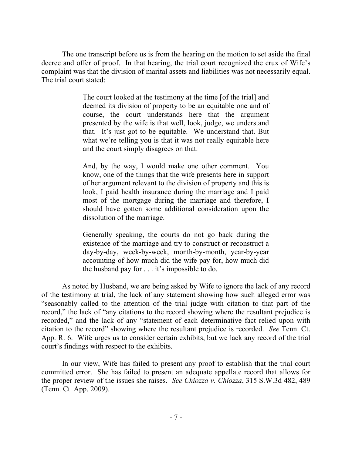The one transcript before us is from the hearing on the motion to set aside the final decree and offer of proof. In that hearing, the trial court recognized the crux of Wife's complaint was that the division of marital assets and liabilities was not necessarily equal. The trial court stated:

> The court looked at the testimony at the time [of the trial] and deemed its division of property to be an equitable one and of course, the court understands here that the argument presented by the wife is that well, look, judge, we understand that. It's just got to be equitable. We understand that. But what we're telling you is that it was not really equitable here and the court simply disagrees on that.

> And, by the way, I would make one other comment. You know, one of the things that the wife presents here in support of her argument relevant to the division of property and this is look, I paid health insurance during the marriage and I paid most of the mortgage during the marriage and therefore, I should have gotten some additional consideration upon the dissolution of the marriage.

> Generally speaking, the courts do not go back during the existence of the marriage and try to construct or reconstruct a day-by-day, week-by-week, month-by-month, year-by-year accounting of how much did the wife pay for, how much did the husband pay for . . . it's impossible to do.

As noted by Husband, we are being asked by Wife to ignore the lack of any record of the testimony at trial, the lack of any statement showing how such alleged error was "seasonably called to the attention of the trial judge with citation to that part of the record," the lack of "any citations to the record showing where the resultant prejudice is recorded," and the lack of any "statement of each determinative fact relied upon with citation to the record" showing where the resultant prejudice is recorded. *See* Tenn. Ct. App. R. 6. Wife urges us to consider certain exhibits, but we lack any record of the trial court's findings with respect to the exhibits.

In our view, Wife has failed to present any proof to establish that the trial court committed error. She has failed to present an adequate appellate record that allows for the proper review of the issues she raises. *See Chiozza v. Chiozza*, 315 S.W.3d 482, 489 (Tenn. Ct. App. 2009).